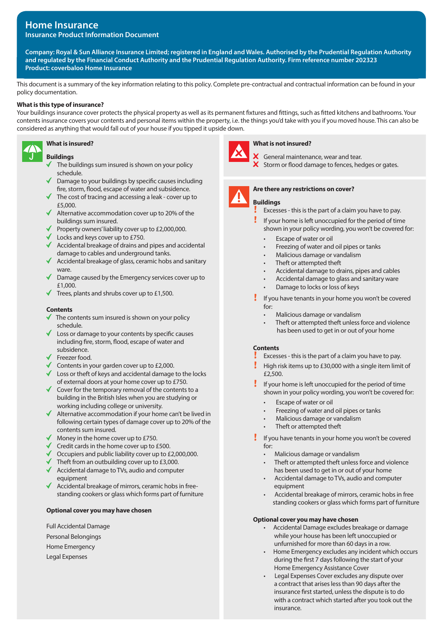# **Home Insurance Insurance Product Information Document**

**Company: Royal & Sun Alliance Insurance Limited; registered in England and Wales. Authorised by the Prudential Regulation Authority and regulated by the Financial Conduct Authority and the Prudential Regulation Authority. Firm reference number 202323 Product: coverbaloo Home Insurance**

This document is a summary of the key information relating to this policy. Complete pre-contractual and contractual information can be found in your policy documentation.

## **What is this type of insurance?**

Your buildings insurance cover protects the physical property as well as its permanent fixtures and fittings, such as fitted kitchens and bathrooms. Your contents insurance covers your contents and personal items within the property, i.e. the things you'd take with you if you moved house. This can also be considered as anything that would fall out of your house if you tipped it upside down.



## **What is insured?**

## **Buildings**

- The buildings sum insured is shown on your policy schedule.
- $\sqrt{\phantom{a}}$  Damage to your buildings by specific causes including fire, storm, flood, escape of water and subsidence.
- $\blacktriangleright$  The cost of tracing and accessing a leak cover up to £5,000.
- $\blacklozenge$  Alternative accommodation cover up to 20% of the buildings sum insured.
- Property owners' liability cover up to £2,000,000.
- Locks and keys cover up to £750.
- $\blacklozenge$  Accidental breakage of drains and pipes and accidental damage to cables and underground tanks.
- Accidental breakage of glass, ceramic hobs and sanitary ware.
- Damage caused by the Emergency services cover up to £1,000.
- $\blacktriangledown$  Trees, plants and shrubs cover up to £1,500.

## **Contents**

- The contents sum insured is shown on your policy schedule.
- Loss or damage to your contents by specific causes including fire, storm, flood, escape of water and subsidence.
- Freezer food.
- Contents in your garden cover up to  $£2,000$ .
- $\blacklozenge$  Loss or theft of keys and accidental damage to the locks of external doors at your home cover up to £750.
- $\checkmark$  Cover for the temporary removal of the contents to a building in the British Isles when you are studying or working including college or university.
- $\blacklozenge$  Alternative accommodation if your home can't be lived in following certain types of damage cover up to 20% of the contents sum insured.
- Money in the home cover up to £750.
- ◆ Credit cards in the home cover up to £500.
- $\sigma$  Occupiers and public liability cover up to £2,000,000.
- $\blacklozenge$  Theft from an outbuilding cover up to £3,000.
- Accidental damage to TVs, audio and computer equipment
- ◆ Accidental breakage of mirrors, ceramic hobs in freestanding cookers or glass which forms part of furniture

### **Optional cover you may have chosen**

- Full Accidental Damage
- Personal Belongings
- Home Emergency
- Legal Expenses



### **What is not insured?**

 $\boldsymbol{X}$  General maintenance, wear and tear.  $\boldsymbol{\times}$  Storm or flood damage to fences, hedges or gates.



## **Are there any restrictions on cover?**

**Buildings**

- Excesses this is the part of a claim you have to pay.
- If your home is left unoccupied for the period of time shown in your policy wording, you won't be covered for:
	- Escape of water or oil
	- Freezing of water and oil pipes or tanks
	- Malicious damage or vandalism
	- Theft or attempted theft
	- Accidental damage to drains, pipes and cables
	- Accidental damage to glass and sanitary ware
	- Damage to locks or loss of keys
- If you have tenants in your home you won't be covered for:
	- Malicious damage or vandalism
	- Theft or attempted theft unless force and violence has been used to get in or out of your home

### **Contents**

- Excesses this is the part of a claim you have to pay.
- Ţ High risk items up to £30,000 with a single item limit of £2,500.
- Ţ. If your home is left unoccupied for the period of time shown in your policy wording, you won't be covered for:
	- Escape of water or oil
	- Freezing of water and oil pipes or tanks
	- Malicious damage or vandalism
	- Theft or attempted theft
- Ţ If you have tenants in your home you won't be covered for:
	- Malicious damage or vandalism
	- Theft or attempted theft unless force and violence has been used to get in or out of your home
	- Accidental damage to TVs, audio and computer equipment
	- Accidental breakage of mirrors, ceramic hobs in free standing cookers or glass which forms part of furniture

## **Optional cover you may have chosen**

- Accidental Damage excludes breakage or damage while your house has been left unoccupied or unfurnished for more than 60 days in a row.
- Home Emergency excludes any incident which occurs during the first 7 days following the start of your Home Emergency Assistance Cover
- Legal Expenses Cover excludes any dispute over a contract that arises less than 90 days after the insurance first started, unless the dispute is to do with a contract which started after you took out the insurance.